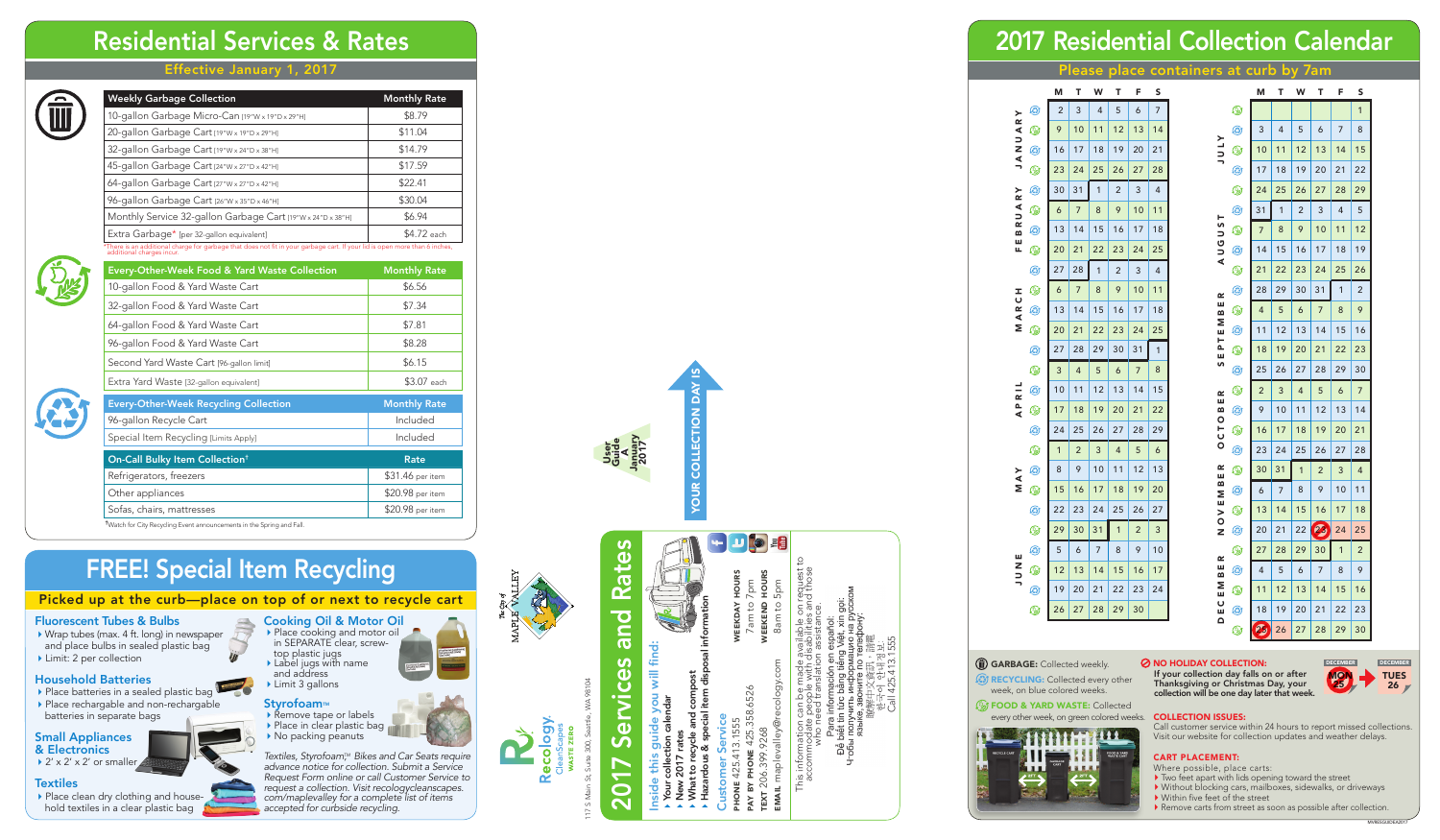#### Effective January 1, 2017



117 S Main St, Suite 300, Seattle, WA 98104 17 S Main St, Suite 300, Sea

# Residential Services & Rates

# **Rates** 2017 Services and Rates bue vices **Ja**  $\mathbf{\tilde{o}}$  $\mathbf \Omega$

This information can be made available on request to accommodate people with disabilities and those who need translation assistance. request<br>nd those wiro riee<br>Para ir<br>pể biết tin<br>тобы получ maplevalley@ This infor<br>accom

- Inside this guide you will find: guide you will find:<br>tion calendar this
- Your collection calendar
	- New 2017 rates ē, 2017
- recy
- Hazardous & special item disposal information and compost<br>ecial item disp What to recycle and compost
	- Customer Service

phone 425.413.1555 pay by phone 425.358.6526

425.

413.1555

358.6526

ONE

text 206.399.9268

206.

9.9268

email maplevalley@recology.com

ecology

**WEEKDAY HOURS**<br>7am to 7pm weekday hours weekend hours  $7<sub>pm</sub>$ <br>HOURS 7am to 7pm to 5pm 8am to 5pm WEEKEND  $8a<sub>m</sub>$ 

**D'o** 

Call 425.413.1555



# 2017 Residential Collection Calendar

Please place containers at curb by 7am

| <b>Weekly Garbage Collection</b>                                                                                                                        | <b>Monthly Rate</b> |
|---------------------------------------------------------------------------------------------------------------------------------------------------------|---------------------|
| 10-gallon Garbage Micro-Can [19"W x 19"D x 29"H]                                                                                                        | \$8.79              |
| 20-gallon Garbage Cart [19"W x 19"D x 29"H]                                                                                                             | \$11.04             |
| 32-gallon Garbage Cart [19"W x 24"D x 38"H]                                                                                                             | \$14.79             |
| 45-gallon Garbage Cart [24"W x 27"D x 42"H]                                                                                                             | \$17.59             |
| 64-gallon Garbage Cart [27"W x 27"D x 42"H]                                                                                                             | \$22.41             |
| 96-gallon Garbage Cart [26"W x 35"D x 46"H]                                                                                                             | \$30.04             |
| Monthly Service 32-gallon Garbage Cart [19"W x 24"D x 38"H]                                                                                             | \$6.94              |
| Extra Garbage* [per 32-gallon equivalent]                                                                                                               | \$4.72 each         |
| *There is an additional charge for garbage that does not fit in your garbage cart. If your lid is open more than 6 inches,<br>additional charges incur. |                     |

ivery-Other-Week Food & Yard Waste Collection Monthly Rate 10-gallon Food & Yard Waste Cart **\$6.56** 



- Place batteries in a sealed plastic bag
- Place rechargable and non-rechargable batteries in separate bags

& Electronics  $\rightarrow$  2' x 2' x 2' or smaller

#### **Textiles**

Place clean dry clothing and household textiles in a clear plastic bag

*Textiles, Styrofoam™, Bikes and Car Seats require advance notice for collection. Submit a Service Request Form online or call Customer Service to request a collection. Visit recologycleanscapes. com/maplevalley for a complete list of items accepted for curbside recycling.*





| 32-gallon Food & Yard Waste Cart             | \$7.34              |
|----------------------------------------------|---------------------|
| 64-gallon Food & Yard Waste Cart             | \$7.81              |
| 96-gallon Food & Yard Waste Cart             | \$8.28              |
| Second Yard Waste Cart [96-gallon limit]     | \$6.15              |
| Extra Yard Waste [32-gallon equivalent]      | \$3.07 each         |
| <b>Every-Other-Week Recycling Collection</b> | <b>Monthly Rate</b> |
| 96-gallon Recycle Cart                       | Included            |
| Special Item Recycling [Limits Apply]        | Included            |
| On-Call Bulky Item Collection <sup>+</sup>   | Rate                |
| Refrigerators, freezers                      | \$31.46 per item    |
|                                              | \$20.98 per item    |
| Other appliances                             |                     |

Vatch for City Recycling Event announcements in the Spring and Fal



**(2) RECYCLING:** Collected every other week, on blue colored weeks.

 $\mathbb{\mathbb{Q}}$  FOOD & YARD WASTE: Collected every other week, on green colored weeks.



#### $\oslash$  **NO HOLIDAY COLLECTION:**



# FREE! Special Item Recycling

#### Picked up at the curb—place on top of or next to recycle cart

#### Fluorescent Tubes & Bulbs

- ▶ Wrap tubes (max. 4 ft. long) in newspaper and place bulbs in sealed plastic bag
- ▶ Limit: 2 per collection

#### Household Batteries

## Small Appliances



- top plastic jugs Label jugs with name and address Limit 3 gallons
	-

### Styrofoam<sub>M</sub><br>
Remove tape or labels

▶ Place in clear plastic bag ▶ No packing peanuts

#### CART PLACE MENT:

- 
- Where possible, place carts:<br>• Two feet apart with lids opening toward the street
- $\blacktriangleright$  Without blocking cars, mailboxes, sidewalks, or driveways  $\blacktriangleright$  Within five feet of the street
- 
- Remove carts from street as soon as possible after collection.

If your collection day falls on or after Thanksgiving or Christmas Day, your collection will be one day later that week.

#### collection issues:

Call customer service within 24 hours to report missed collections. Visit our website for collection updates and weather delays.



User

|            |          | M              | T                       | W            | T                        | F              | S  |                      |
|------------|----------|----------------|-------------------------|--------------|--------------------------|----------------|----|----------------------|
|            | ۵        | $\overline{c}$ | 3                       | 4            | 5                        | 6              | 7  | ۷                    |
| JANUARY    | ۷        | 9              | 10                      | 11           | 12                       | 13             | 14 | ٨                    |
|            | G        | 16             | 17                      | 18           | 19                       | 20             | 21 | <b>ATNE</b><br>۷     |
|            | ۷        | 23             | 24                      | 25           | 26                       | 27             | 28 | ٨                    |
|            | G        | 30             | 31                      | $\mathbf{1}$ | $\overline{c}$           | 3              | 4  | ۷                    |
|            | ۷        | 6              | 7                       | 8            | 9                        | 10             | 11 | ٨                    |
| FEBRUARY   | G        | 13             | 14                      | 15           | 16                       | 17             | 18 | ۷                    |
|            | ۷        | 20             | 21                      | 22           | 23                       | 24             | 25 | AUGUST<br>۵          |
|            | ۵        | 27             | 28                      | 1            | 2                        | 3              | 4  | ۷                    |
|            | ۷        | 6              | 7                       | 8            | 9                        | 10             | 11 | ٨                    |
| MARCH      | ۵        | 13             | 14                      | 15           | 16                       | 17             | 18 | B E R<br>۷           |
|            | ۷        | 20             | 21                      | 22           | 23                       | 24             | 25 | ٨                    |
|            | ۵        | 27             | 28                      | 29           | 30                       | 31             | 1  | SEPTEM<br>۷          |
|            | ۷        | 3              | $\overline{\mathbf{4}}$ | 5            | 6                        | 7              | 8  | O                    |
|            | ۵        | 10             | 11                      | 12           | 13                       | 14             | 15 | ۷                    |
| APRIL      | ۷        | 17             | 18                      | 19           | 20                       | 21             | 22 | ٨                    |
|            | Ø        | 24             | 25                      | 26           | 27                       | 28             | 29 | OCTOBER<br>۷         |
|            | ۷        | 1              | $\overline{c}$          | 3            | $\overline{\mathcal{L}}$ | 5              | 6  | ٨                    |
|            | G        | 8              | 9                       | 10           | 11                       | 12             | 13 | E R<br>۷             |
| <b>NAY</b> | ۷        | 15             | 16                      | 17           | 18                       | 19             | 20 | MB I<br>٨            |
|            | ۵        | 22             | 23                      | 24           | 25                       | 26             | 27 | $N$ O $V$ E<br>۷     |
|            | ۷        | 29             | 30                      | 31           | 1                        | $\overline{c}$ | 3  | ☺                    |
|            | G        | 5              | 6                       | 7            | 8                        | 9              | 10 | ۷                    |
| JUNE       | <b>.</b> | 12             | 13                      | 14           | 15                       | 16             | 17 | ۵                    |
|            | G        | 19             | 20                      | 21           | 22                       | 23             | 24 | ۷                    |
|            | ۷        | 26             | 27                      | 28           | 29                       | 30             |    | <b>DECEMBER</b><br>۵ |
|            |          |                |                         |              |                          |                |    |                      |

|                  |   | M                                          | Т               | W              | Т               | F              | S              |
|------------------|---|--------------------------------------------|-----------------|----------------|-----------------|----------------|----------------|
|                  | ⊛ |                                            |                 |                |                 |                | 1              |
|                  | © | 3                                          | 4               | 5              | 6               | 7              | 8              |
| ונות<br>כ        | ۷ | 10                                         | 11              | 12             | 13              | 14             | 15             |
|                  | Ø | 17                                         | 18              | 19             | 20              | 21             | 22             |
|                  | ⊛ | 24                                         | 25              | 26             | 27              | 28             | 29             |
|                  | Ø | 31                                         | 1               | $\overline{2}$ | 3               | $\overline{4}$ | 5              |
| ^<br>ጋ           | ۷ | 7                                          | 8               | 9              | 10              | 11             | 12             |
| りつく              | ⊛ | 14                                         | 15              | 16             | 17              | 18             | 19             |
|                  | ۷ | 21                                         | 22              | 23             | 24              | 25             | 26             |
| Ł                | ۵ | 28                                         | 29              | 30             | 31              | 1              | 2              |
| ں<br>2           | ۷ | $\overline{4}$                             | 5               | 6              | 7               | 8              | 9              |
| Z<br>ש<br>-<br>ב | Ø | 11                                         | 12              | 13             | 14              | 15             | 16             |
| U                | ۷ | 18                                         | 19              | 20             | 21              | 22             | 23             |
| n                | ⊛ | 25                                         | 26              | 27             | 28              | 29             | 30             |
| Ł                | ⊛ | $\overline{c}$                             | 3               | $\overline{4}$ | 5               | 6              | $\overline{7}$ |
| U<br>a<br>C      | Ø | 9                                          | 10              | 11             | 12              | 13             | 14             |
| ر<br>C           | ۷ | 16                                         | 17              | 18             | 19              | 20             | 21             |
|                  | Ø | 23                                         | 24              | 25             | 26              | 27             | 28             |
| Y<br>U           | ۷ | 30                                         | 31              | $\mathbf{1}$   | $\overline{2}$  | 3              | $\overline{4}$ |
| o                | ⊛ | 6                                          | 7               | 8              | 9               | 10             | 11             |
| M J Y C N        | ۷ | 13                                         | 14              | 15             | 16              | 17             | 18             |
|                  | © | 20                                         | $\overline{21}$ | 22             | $\mathcal{C}_d$ | 24             | 25             |
| Ł                | ۷ | 27                                         | 28              | 29             | 30              | $\overline{1}$ | $\overline{c}$ |
| U<br>n           | Ø | 4                                          | 5               | 6              | 7               | 8              | 9              |
| Z<br>u<br>ر      | ۷ | 11                                         | 12              | 13             | 14              | 15             | 16             |
| ц<br>ב           | Ø | 18                                         | 19              | 20             | 21              | 22             | 23             |
|                  | ۷ | $\sigma_{\!\scriptscriptstyle\mathcal{S}}$ | 26              | 27             | 28              | 29             | 30             |

**GARBAGE:** Collected weekly.